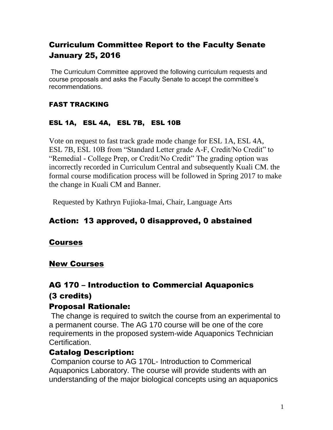#### Curriculum Committee Report to the Faculty Senate January 25, 2016

The Curriculum Committee approved the following curriculum requests and course proposals and asks the Faculty Senate to accept the committee's recommendations.

#### FAST TRACKING

#### ESL 1A, ESL 4A, ESL 7B, ESL 10B

Vote on request to fast track grade mode change for ESL 1A, ESL 4A, ESL 7B, ESL 10B from "Standard Letter grade A-F, Credit/No Credit" to "Remedial - College Prep, or Credit/No Credit" The grading option was incorrectly recorded in Curriculum Central and subsequently Kuali CM. the formal course modification process will be followed in Spring 2017 to make the change in Kuali CM and Banner.

Requested by Kathryn Fujioka-Imai, Chair, Language Arts

#### Action: 13 approved, 0 disapproved, 0 abstained

#### Courses

#### New Courses

#### AG 170 – Introduction to Commercial Aquaponics (3 credits)

#### Proposal Rationale:

The change is required to switch the course from an experimental to a permanent course. The AG 170 course will be one of the core requirements in the proposed system-wide Aquaponics Technician Certification.

#### Catalog Description:

Companion course to AG 170L- Introduction to Commerical Aquaponics Laboratory. The course will provide students with an understanding of the major biological concepts using an aquaponics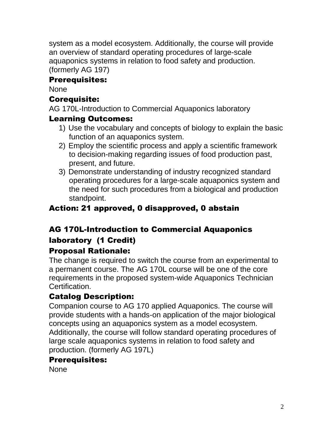system as a model ecosystem. Additionally, the course will provide an overview of standard operating procedures of large-scale aquaponics systems in relation to food safety and production. (formerly AG 197)

#### Prerequisites:

**None** 

#### Corequisite:

AG 170L-Introduction to Commercial Aquaponics laboratory

#### Learning Outcomes:

- 1) Use the vocabulary and concepts of biology to explain the basic function of an aquaponics system.
- 2) Employ the scientific process and apply a scientific framework to decision-making regarding issues of food production past, present, and future.
- 3) Demonstrate understanding of industry recognized standard operating procedures for a large-scale aquaponics system and the need for such procedures from a biological and production standpoint.

#### Action: 21 approved, 0 disapproved, 0 abstain

## AG 170L-Introduction to Commercial Aquaponics laboratory (1 Credit)

#### Proposal Rationale:

The change is required to switch the course from an experimental to a permanent course. The AG 170L course will be one of the core requirements in the proposed system-wide Aquaponics Technician Certification.

#### Catalog Description:

Companion course to AG 170 applied Aquaponics. The course will provide students with a hands-on application of the major biological concepts using an aquaponics system as a model ecosystem. Additionally, the course will follow standard operating procedures of large scale aquaponics systems in relation to food safety and production. (formerly AG 197L)

#### Prerequisites:

None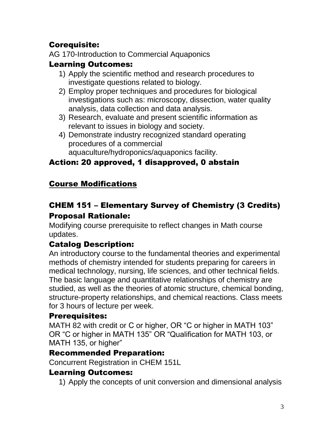## Corequisite:

AG 170-Introduction to Commercial Aquaponics

#### Learning Outcomes:

- 1) Apply the scientific method and research procedures to investigate questions related to biology.
- 2) Employ proper techniques and procedures for biological investigations such as: microscopy, dissection, water quality analysis, data collection and data analysis.
- 3) Research, evaluate and present scientific information as relevant to issues in biology and society.
- 4) Demonstrate industry recognized standard operating procedures of a commercial aquaculture/hydroponics/aquaponics facility.

## Action: 20 approved, 1 disapproved, 0 abstain

#### Course Modifications

# CHEM 151 – Elementary Survey of Chemistry (3 Credits) Proposal Rationale:

Modifying course prerequisite to reflect changes in Math course updates.

#### Catalog Description:

An introductory course to the fundamental theories and experimental methods of chemistry intended for students preparing for careers in medical technology, nursing, life sciences, and other technical fields. The basic language and quantitative relationships of chemistry are studied, as well as the theories of atomic structure, chemical bonding, structure-property relationships, and chemical reactions. Class meets for 3 hours of lecture per week.

#### Prerequisites:

MATH 82 with credit or C or higher, OR "C or higher in MATH 103" OR "C or higher in MATH 135" OR "Qualification for MATH 103, or MATH 135, or higher"

#### Recommended Preparation:

Concurrent Registration in CHEM 151L

#### Learning Outcomes:

1) Apply the concepts of unit conversion and dimensional analysis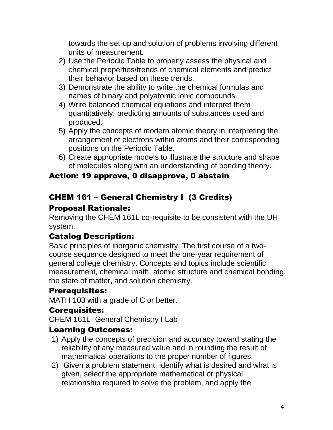towards the set-up and solution of problems involving different units of measurement.

- 2) Use the Periodic Table to properly assess the physical and chemical properties/trends of chemical elements and predict their behavior based on these trends.
- 3) Demonstrate the ability to write the chemical formulas and names of binary and polyatomic ionic compounds.
- 4) Write balanced chemical equations and interpret them quantitatively, predicting amounts of substances used and produced.
- 5) Apply the concepts of modern atomic theory in interpreting the arrangement of electrons within atoms and their corresponding positions on the Periodic Table.
- 6) Create appropriate models to illustrate the structure and shape of molecules along with an understanding of bonding theory.

#### Action: 19 approve, 0 disapprove, 0 abstain

## CHEM 161 – General Chemistry I (3 Credits)

#### Proposal Rationale:

Removing the CHEM 161L co-requisite to be consistent with the UH system.

#### Catalog Description:

Basic principles of inorganic chemistry. The first course of a twocourse sequence designed to meet the one-year requirement of general college chemistry. Concepts and topics include scientific measurement, chemical math, atomic structure and chemical bonding, the state of matter, and solution chemistry.

#### Prerequisites:

MATH 103 with a grade of C or better.

#### Corequisites:

CHEM 161L- General Chemistry I Lab

#### Learning Outcomes:

- 1) Apply the concepts of precision and accuracy toward stating the reliability of any measured value and in rounding the result of mathematical operations to the proper number of figures.
- 2) Given a problem statement, identify what is desired and what is given, select the appropriate mathematical or physical relationship required to solve the problem, and apply the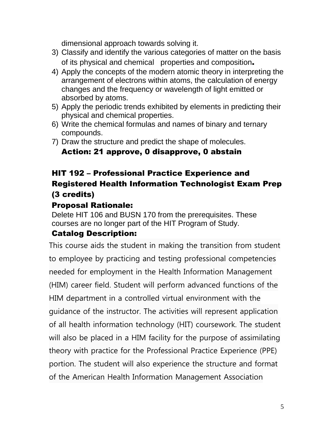dimensional approach towards solving it.

- 3) Classify and identify the various categories of matter on the basis of its physical and chemical properties and composition.
- 4) Apply the concepts of the modern atomic theory in interpreting the arrangement of electrons within atoms, the calculation of energy changes and the frequency or wavelength of light emitted or absorbed by atoms.
- 5) Apply the periodic trends exhibited by elements in predicting their physical and chemical properties.
- 6) Write the chemical formulas and names of binary and ternary compounds.
- 7) Draw the structure and predict the shape of molecules.

#### Action: 21 approve, 0 disapprove, 0 abstain

#### HIT 192 – Professional Practice Experience and Registered Health Information Technologist Exam Prep (3 credits)

#### Proposal Rationale:

Delete HIT 106 and BUSN 170 from the prerequisites. These courses are no longer part of the HIT Program of Study.

#### Catalog Description:

This course aids the student in making the transition from student to employee by practicing and testing professional competencies needed for employment in the Health Information Management (HIM) career field. Student will perform advanced functions of the HIM department in a controlled virtual environment with the guidance of the instructor. The activities will represent application of all health information technology (HIT) coursework. The student will also be placed in a HIM facility for the purpose of assimilating theory with practice for the Professional Practice Experience (PPE) portion. The student will also experience the structure and format of the American Health Information Management Association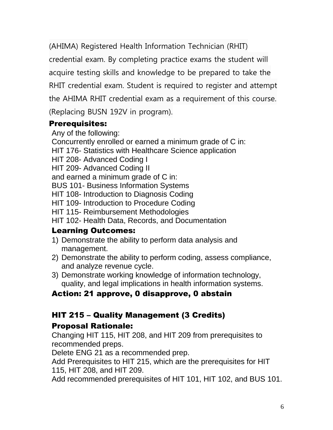(AHIMA) Registered Health Information Technician (RHIT) credential exam. By completing practice exams the student will acquire testing skills and knowledge to be prepared to take the RHIT credential exam. Student is required to register and attempt the AHIMA RHIT credential exam as a requirement of this course. (Replacing BUSN 192V in program).

#### Prerequisites:

Any of the following: Concurrently enrolled or earned a minimum grade of C in: HIT 176- Statistics with Healthcare Science application HIT 208- Advanced Coding I HIT 209- Advanced Coding II and earned a minimum grade of C in: BUS 101- Business Information Systems HIT 108- Introduction to Diagnosis Coding HIT 109- Introduction to Procedure Coding HIT 115- Reimbursement Methodologies HIT 102- Health Data, Records, and Documentation

#### Learning Outcomes:

- 1) Demonstrate the ability to perform data analysis and management.
- 2) Demonstrate the ability to perform coding, assess compliance, and analyze revenue cycle.
- 3) Demonstrate working knowledge of information technology, quality, and legal implications in health information systems.

# Action: 21 approve, 0 disapprove, 0 abstain

# HIT 215 – Quality Management (3 Credits)

#### Proposal Rationale:

Changing HIT 115, HIT 208, and HIT 209 from prerequisites to recommended preps.

Delete ENG 21 as a recommended prep.

Add Prerequisites to HIT 215, which are the prerequisites for HIT 115, HIT 208, and HIT 209.

Add recommended prerequisites of HIT 101, HIT 102, and BUS 101.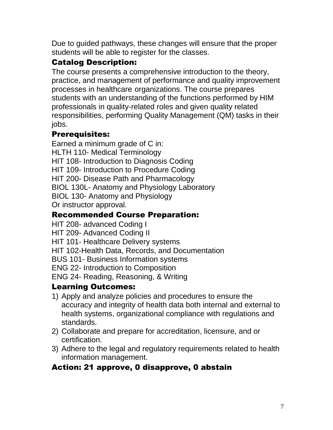Due to guided pathways, these changes will ensure that the proper students will be able to register for the classes.

# Catalog Description:

The course presents a comprehensive introduction to the theory, practice, and management of performance and quality improvement processes in healthcare organizations. The course prepares students with an understanding of the functions performed by HIM professionals in quality-related roles and given quality related responsibilities, performing Quality Management (QM) tasks in their jobs.

#### Prerequisites:

Earned a minimum grade of C in: HLTH 110- Medical Terminology HIT 108- Introduction to Diagnosis Coding HIT 109- Introduction to Procedure Coding HIT 200- Disease Path and Pharmacology BIOL 130L- Anatomy and Physiology Laboratory BIOL 130- Anatomy and Physiology Or instructor approval.

#### Recommended Course Preparation:

HIT 208- advanced Coding I HIT 209- Advanced Coding II HIT 101- Healthcare Delivery systems HIT 102-Health Data, Records, and Documentation BUS 101- Business Information systems ENG 22- Introduction to Composition ENG 24- Reading, Reasoning, & Writing

#### Learning Outcomes:

- 1) Apply and analyze policies and procedures to ensure the accuracy and integrity of health data both internal and external to health systems, organizational compliance with regulations and standards.
- 2) Collaborate and prepare for accreditation, licensure, and or certification.
- 3) Adhere to the legal and regulatory requirements related to health information management.

#### Action: 21 approve, 0 disapprove, 0 abstain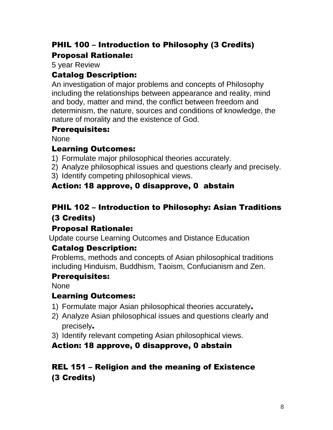# PHIL 100 – Introduction to Philosophy (3 Credits) Proposal Rationale:

5 year Review

#### Catalog Description:

An investigation of major problems and concepts of Philosophy including the relationships between appearance and reality, mind and body, matter and mind, the conflict between freedom and determinism, the nature, sources and conditions of knowledge, the nature of morality and the existence of God.

#### Prerequisites:

None

#### Learning Outcomes:

- 1) Formulate major philosophical theories accurately.
- 2) Analyze philosophical issues and questions clearly and precisely.
- 3) Identify competing philosophical views.

# Action: 18 approve, 0 disapprove, 0 abstain

## PHIL 102 – Introduction to Philosophy: Asian Traditions (3 Credits)

#### Proposal Rationale:

Update course Learning Outcomes and Distance Education

# Catalog Description:

Problems, methods and concepts of Asian philosophical traditions including Hinduism, Buddhism, Taoism, Confucianism and Zen.

#### Prerequisites:

None

#### Learning Outcomes:

- 1) Formulate major Asian philosophical theories accurately.
- 2) Analyze Asian philosophical issues and questions clearly and precisely.
- 3) Identify relevant competing Asian philosophical views.

# Action: 18 approve, 0 disapprove, 0 abstain

# REL 151 – Religion and the meaning of Existence (3 Credits)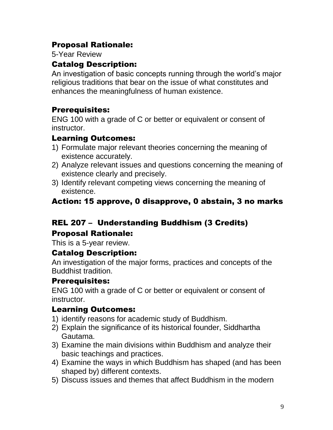#### Proposal Rationale:

5-Year Review

#### Catalog Description:

An investigation of basic concepts running through the world's major religious traditions that bear on the issue of what constitutes and enhances the meaningfulness of human existence.

#### Prerequisites:

ENG 100 with a grade of C or better or equivalent or consent of instructor.

#### Learning Outcomes:

- 1) Formulate major relevant theories concerning the meaning of existence accurately.
- 2) Analyze relevant issues and questions concerning the meaning of existence clearly and precisely.
- 3) Identify relevant competing views concerning the meaning of existence.

#### Action: 15 approve, 0 disapprove, 0 abstain, 3 no marks

# REL 207 – Understanding Buddhism (3 Credits)

# Proposal Rationale:

This is a 5-year review.

#### Catalog Description:

An investigation of the major forms, practices and concepts of the Buddhist tradition.

#### Prerequisites:

ENG 100 with a grade of C or better or equivalent or consent of instructor.

#### Learning Outcomes:

- 1) identify reasons for academic study of Buddhism.
- 2) Explain the significance of its historical founder, Siddhartha Gautama.
- 3) Examine the main divisions within Buddhism and analyze their basic teachings and practices.
- 4) Examine the ways in which Buddhism has shaped (and has been shaped by) different contexts.
- 5) Discuss issues and themes that affect Buddhism in the modern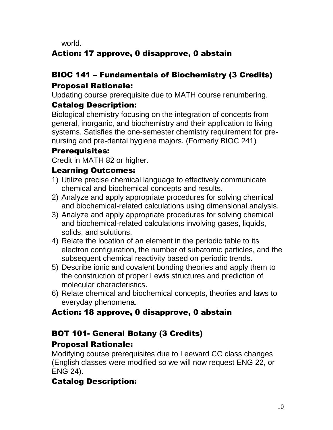world.

# Action: 17 approve, 0 disapprove, 0 abstain

# BIOC 141 – Fundamentals of Biochemistry (3 Credits) Proposal Rationale:

Updating course prerequisite due to MATH course renumbering.

# Catalog Description:

Biological chemistry focusing on the integration of concepts from general, inorganic, and biochemistry and their application to living systems. Satisfies the one-semester chemistry requirement for prenursing and pre-dental hygiene majors. (Formerly BIOC 241)

#### Prerequisites:

Credit in MATH 82 or higher.

#### Learning Outcomes:

- 1) Utilize precise chemical language to effectively communicate chemical and biochemical concepts and results.
- 2) Analyze and apply appropriate procedures for solving chemical and biochemical-related calculations using dimensional analysis.
- 3) Analyze and apply appropriate procedures for solving chemical and biochemical-related calculations involving gases, liquids, solids, and solutions.
- 4) Relate the location of an element in the periodic table to its electron configuration, the number of subatomic particles, and the subsequent chemical reactivity based on periodic trends.
- 5) Describe ionic and covalent bonding theories and apply them to the construction of proper Lewis structures and prediction of molecular characteristics.
- 6) Relate chemical and biochemical concepts, theories and laws to everyday phenomena.

# Action: 18 approve, 0 disapprove, 0 abstain

# BOT 101- General Botany (3 Credits)

# Proposal Rationale:

Modifying course prerequisites due to Leeward CC class changes (English classes were modified so we will now request ENG 22, or ENG 24).

# Catalog Description: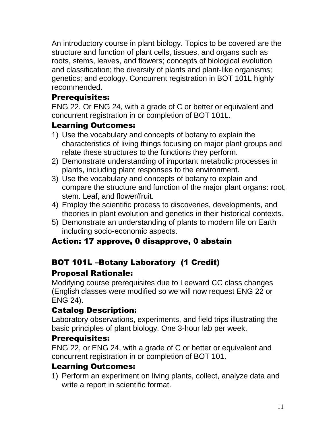An introductory course in plant biology. Topics to be covered are the structure and function of plant cells, tissues, and organs such as roots, stems, leaves, and flowers; concepts of biological evolution and classification; the diversity of plants and plant-like organisms; genetics; and ecology. Concurrent registration in BOT 101L highly recommended.

#### Prerequisites:

ENG 22. Or ENG 24, with a grade of C or better or equivalent and concurrent registration in or completion of BOT 101L.

#### Learning Outcomes:

- 1) Use the vocabulary and concepts of botany to explain the characteristics of living things focusing on major plant groups and relate these structures to the functions they perform.
- 2) Demonstrate understanding of important metabolic processes in plants, including plant responses to the environment.
- 3) Use the vocabulary and concepts of botany to explain and compare the structure and function of the major plant organs: root, stem. Leaf, and flower/fruit.
- 4) Employ the scientific process to discoveries, developments, and theories in plant evolution and genetics in their historical contexts.
- 5) Demonstrate an understanding of plants to modern life on Earth including socio-economic aspects.

# Action: 17 approve, 0 disapprove, 0 abstain

# BOT 101L –Botany Laboratory (1 Credit)

# Proposal Rationale:

Modifying course prerequisites due to Leeward CC class changes (English classes were modified so we will now request ENG 22 or ENG 24).

#### Catalog Description:

Laboratory observations, experiments, and field trips illustrating the basic principles of plant biology. One 3-hour lab per week.

#### Prerequisites:

ENG 22, or ENG 24, with a grade of C or better or equivalent and concurrent registration in or completion of BOT 101.

#### Learning Outcomes:

1) Perform an experiment on living plants, collect, analyze data and write a report in scientific format.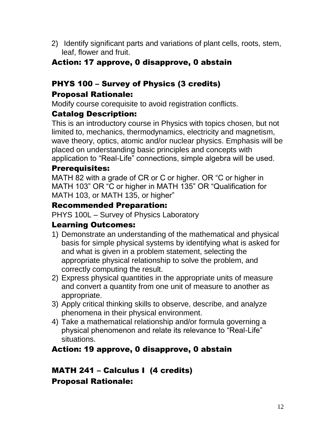2) Identify significant parts and variations of plant cells, roots, stem, leaf, flower and fruit.

#### Action: 17 approve, 0 disapprove, 0 abstain

# PHYS 100 – Survey of Physics (3 credits)

#### Proposal Rationale:

Modify course corequisite to avoid registration conflicts.

#### Catalog Description:

This is an introductory course in Physics with topics chosen, but not limited to, mechanics, thermodynamics, electricity and magnetism, wave theory, optics, atomic and/or nuclear physics. Emphasis will be placed on understanding basic principles and concepts with application to "Real-Life" connections, simple algebra will be used.

#### Prerequisites:

MATH 82 with a grade of CR or C or higher. OR "C or higher in MATH 103" OR "C or higher in MATH 135" OR "Qualification for MATH 103, or MATH 135, or higher"

#### Recommended Preparation:

PHYS 100L – Survey of Physics Laboratory

#### Learning Outcomes:

- 1) Demonstrate an understanding of the mathematical and physical basis for simple physical systems by identifying what is asked for and what is given in a problem statement, selecting the appropriate physical relationship to solve the problem, and correctly computing the result.
- 2) Express physical quantities in the appropriate units of measure and convert a quantity from one unit of measure to another as appropriate.
- 3) Apply critical thinking skills to observe, describe, and analyze phenomena in their physical environment.
- 4) Take a mathematical relationship and/or formula governing a physical phenomenon and relate its relevance to "Real-Life" situations.

#### Action: 19 approve, 0 disapprove, 0 abstain

#### MATH 241 – Calculus I (4 credits) Proposal Rationale: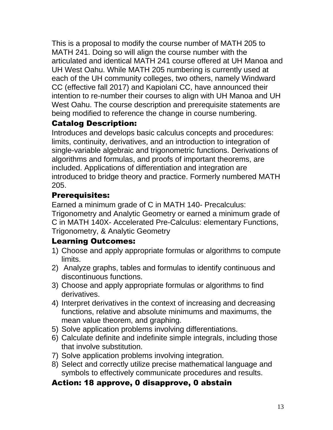This is a proposal to modify the course number of MATH 205 to MATH 241. Doing so will align the course number with the articulated and identical MATH 241 course offered at UH Manoa and UH West Oahu. While MATH 205 numbering is currently used at each of the UH community colleges, two others, namely Windward CC (effective fall 2017) and Kapiolani CC, have announced their intention to re-number their courses to align with UH Manoa and UH West Oahu. The course description and prerequisite statements are being modified to reference the change in course numbering.

## Catalog Description:

Introduces and develops basic calculus concepts and procedures: limits, continuity, derivatives, and an introduction to integration of single-variable algebraic and trigonometric functions. Derivations of algorithms and formulas, and proofs of important theorems, are included. Applications of differentiation and integration are introduced to bridge theory and practice. Formerly numbered MATH 205.

## Prerequisites:

Earned a minimum grade of C in MATH 140- Precalculus: Trigonometry and Analytic Geometry or earned a minimum grade of C in MATH 140X- Accelerated Pre-Calculus: elementary Functions, Trigonometry, & Analytic Geometry

#### Learning Outcomes:

- 1) Choose and apply appropriate formulas or algorithms to compute limits.
- 2) Analyze graphs, tables and formulas to identify continuous and discontinuous functions.
- 3) Choose and apply appropriate formulas or algorithms to find derivatives.
- 4) Interpret derivatives in the context of increasing and decreasing functions, relative and absolute minimums and maximums, the mean value theorem, and graphing.
- 5) Solve application problems involving differentiations.
- 6) Calculate definite and indefinite simple integrals, including those that involve substitution.
- 7) Solve application problems involving integration.
- 8) Select and correctly utilize precise mathematical language and symbols to effectively communicate procedures and results.

#### Action: 18 approve, 0 disapprove, 0 abstain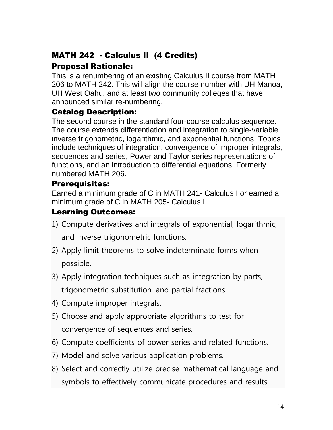# MATH 242 - Calculus II (4 Credits)

#### Proposal Rationale:

This is a renumbering of an existing Calculus II course from MATH 206 to MATH 242. This will align the course number with UH Manoa, UH West Oahu, and at least two community colleges that have announced similar re-numbering.

#### Catalog Description:

The second course in the standard four-course calculus sequence. The course extends differentiation and integration to single-variable inverse trigonometric, logarithmic, and exponential functions. Topics include techniques of integration, convergence of improper integrals, sequences and series, Power and Taylor series representations of functions, and an introduction to differential equations. Formerly numbered MATH 206.

#### Prerequisites:

Earned a minimum grade of C in MATH 241- Calculus I or earned a minimum grade of C in MATH 205- Calculus I

## Learning Outcomes:

- 1) Compute derivatives and integrals of exponential, logarithmic, and inverse trigonometric functions.
- 2) Apply limit theorems to solve indeterminate forms when possible.
- 3) Apply integration techniques such as integration by parts, trigonometric substitution, and partial fractions.
- 4) Compute improper integrals.
- 5) Choose and apply appropriate algorithms to test for convergence of sequences and series.
- 6) Compute coefficients of power series and related functions.
- 7) Model and solve various application problems.
- 8) Select and correctly utilize precise mathematical language and symbols to effectively communicate procedures and results.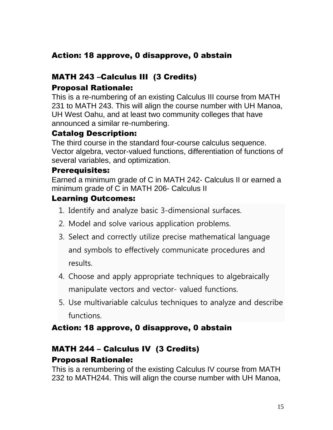#### Action: 18 approve, 0 disapprove, 0 abstain

# MATH 243 –Calculus III (3 Credits)

# Proposal Rationale:

This is a re-numbering of an existing Calculus III course from MATH 231 to MATH 243. This will align the course number with UH Manoa, UH West Oahu, and at least two community colleges that have announced a similar re-numbering.

#### Catalog Description:

The third course in the standard four-course calculus sequence. Vector algebra, vector-valued functions, differentiation of functions of several variables, and optimization.

#### Prerequisites:

Earned a minimum grade of C in MATH 242- Calculus II or earned a minimum grade of C in MATH 206- Calculus II

#### Learning Outcomes:

- 1. Identify and analyze basic 3-dimensional surfaces.
- 2. Model and solve various application problems.
- 3. Select and correctly utilize precise mathematical language and symbols to effectively communicate procedures and results.
- 4. Choose and apply appropriate techniques to algebraically manipulate vectors and vector- valued functions.
- 5. Use multivariable calculus techniques to analyze and describe functions.

#### Action: 18 approve, 0 disapprove, 0 abstain

#### MATH 244 – Calculus IV (3 Credits) Proposal Rationale:

This is a renumbering of the existing Calculus IV course from MATH 232 to MATH244. This will align the course number with UH Manoa,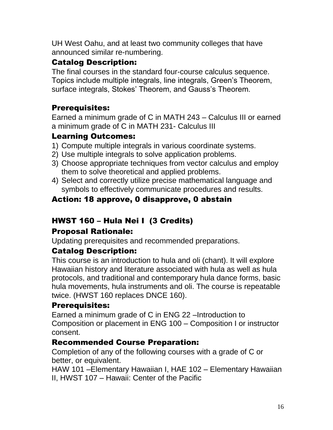UH West Oahu, and at least two community colleges that have announced similar re-numbering.

#### Catalog Description:

The final courses in the standard four-course calculus sequence. Topics include multiple integrals, line integrals, Green's Theorem, surface integrals, Stokes' Theorem, and Gauss's Theorem.

## Prerequisites:

Earned a minimum grade of C in MATH 243 – Calculus III or earned a minimum grade of C in MATH 231- Calculus III

#### Learning Outcomes:

- 1) Compute multiple integrals in various coordinate systems.
- 2) Use multiple integrals to solve application problems.
- 3) Choose appropriate techniques from vector calculus and employ them to solve theoretical and applied problems.
- 4) Select and correctly utilize precise mathematical language and symbols to effectively communicate procedures and results.

# Action: 18 approve, 0 disapprove, 0 abstain

# HWST 160 – Hula Nei I (3 Credits)

#### Proposal Rationale:

Updating prerequisites and recommended preparations.

#### Catalog Description:

This course is an introduction to hula and oli (chant). It will explore Hawaiian history and literature associated with hula as well as hula protocols, and traditional and contemporary hula dance forms, basic hula movements, hula instruments and oli. The course is repeatable twice. (HWST 160 replaces DNCE 160).

#### Prerequisites:

Earned a minimum grade of C in ENG 22 –Introduction to Composition or placement in ENG 100 – Composition I or instructor consent.

#### Recommended Course Preparation:

Completion of any of the following courses with a grade of C or better, or equivalent.

HAW 101 –Elementary Hawaiian I, HAE 102 – Elementary Hawaiian II, HWST 107 – Hawaii: Center of the Pacific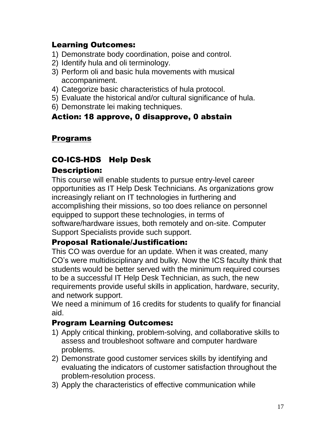#### Learning Outcomes:

- 1) Demonstrate body coordination, poise and control.
- 2) Identify hula and oli terminology.
- 3) Perform oli and basic hula movements with musical accompaniment.
- 4) Categorize basic characteristics of hula protocol.
- 5) Evaluate the historical and/or cultural significance of hula.
- 6) Demonstrate lei making techniques.

#### Action: 18 approve, 0 disapprove, 0 abstain

#### Programs

#### CO-ICS-HDS Help Desk

#### Description:

This course will enable students to pursue entry-level career opportunities as IT Help Desk Technicians. As organizations grow increasingly reliant on IT technologies in furthering and accomplishing their missions, so too does reliance on personnel equipped to support these technologies, in terms of software/hardware issues, both remotely and on-site. Computer Support Specialists provide such support.

#### Proposal Rationale/Justification:

This CO was overdue for an update. When it was created, many CO's were multidisciplinary and bulky. Now the ICS faculty think that students would be better served with the minimum required courses to be a successful IT Help Desk Technician, as such, the new requirements provide useful skills in application, hardware, security, and network support.

We need a minimum of 16 credits for students to qualify for financial aid.

#### Program Learning Outcomes:

- 1) Apply critical thinking, problem-solving, and collaborative skills to assess and troubleshoot software and computer hardware problems.
- 2) Demonstrate good customer services skills by identifying and evaluating the indicators of customer satisfaction throughout the problem-resolution process.
- 3) Apply the characteristics of effective communication while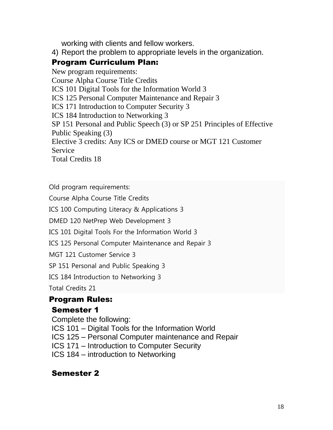working with clients and fellow workers.

4) Report the problem to appropriate levels in the organization.

#### Program Curriculum Plan:

New program requirements: Course Alpha Course Title Credits ICS 101 Digital Tools for the Information World 3 ICS 125 Personal Computer Maintenance and Repair 3 ICS 171 Introduction to Computer Security 3 ICS 184 Introduction to Networking 3 SP 151 Personal and Public Speech (3) or SP 251 Principles of Effective Public Speaking (3) Elective 3 credits: Any ICS or DMED course or MGT 121 Customer **Service** Total Credits 18

Old program requirements:

Course Alpha Course Title Credits

ICS 100 Computing Literacy & Applications 3

DMED 120 NetPrep Web Development 3

ICS 101 Digital Tools For the Information World 3

ICS 125 Personal Computer Maintenance and Repair 3

MGT 121 Customer Service 3

SP 151 Personal and Public Speaking 3

ICS 184 Introduction to Networking 3

Total Credits 21

# Program Rules:

#### Semester 1

Complete the following: ICS 101 – Digital Tools for the Information World ICS 125 – Personal Computer maintenance and Repair ICS 171 – Introduction to Computer Security ICS 184 – introduction to Networking

#### Semester 2